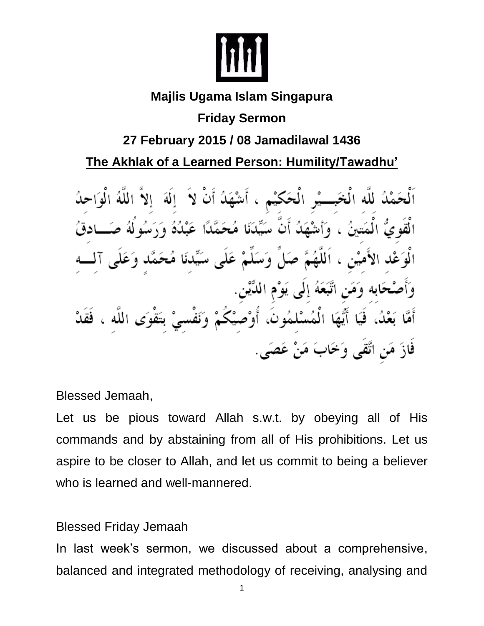

### **Majlis Ugama Islam Singapura**

# **Friday Sermon**

## **27 February 2015 / 08 Jamadilawal 1436**

**The Akhlak of a Learned Person: Humility/Tawadhu'** 

اَلْحَمْدُ للَّه الْخَبِـــيْرِ الْحَكَيْمِ ، أَشْهَدُ أَنْ لاَ ۚ إِلَهَ ۚ إِلاَّ اللَّهُ الْوَاحِدُ الْقَوِيُّ الْمَتينُ ، وَأَسْهَدُ أَنَّ سَيِّدَنَا مُحَمَّدًا عَبْدُهُ وَرَسُولُهُ صَـــادقُ الْوَعْد الأَميْن ، اَللَّهُمَّ صَلٍّ وَسَلَّمْ عَلَى سَيِّدنَا مُحَمَّد وَعَلَى آلــــه وَأَصْحَابِه وَمَنِ اتَّبَعَهُ إِلَى يَوْمِ الدِّيْنِ. أَمَّا بَعْدُ، فَيَا أَيُّهَا الْمُسْلمُونَ، أُوْصَيْكُمْ وَنَفْسيْ بتَقْوَى اللَّه ، فَقَدْ فَازَ مَن اتَّقَى وَخَابَ مَنْ عَصَى ِ

Blessed Jemaah,

Let us be pious toward Allah s.w.t. by obeying all of His commands and by abstaining from all of His prohibitions. Let us aspire to be closer to Allah, and let us commit to being a believer who is learned and well-mannered.

## Blessed Friday Jemaah

In last week's sermon, we discussed about a comprehensive, balanced and integrated methodology of receiving, analysing and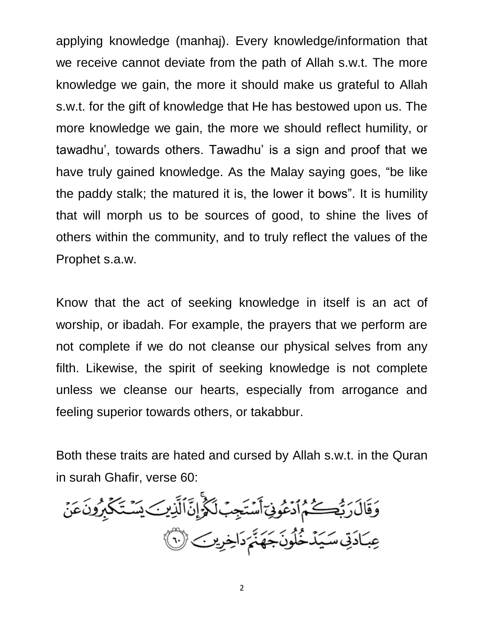applying knowledge (manhaj). Every knowledge/information that we receive cannot deviate from the path of Allah s.w.t. The more knowledge we gain, the more it should make us grateful to Allah s.w.t. for the gift of knowledge that He has bestowed upon us. The more knowledge we gain, the more we should reflect humility, or tawadhu', towards others. Tawadhu' is a sign and proof that we have truly gained knowledge. As the Malay saying goes, "be like the paddy stalk; the matured it is, the lower it bows". It is humility that will morph us to be sources of good, to shine the lives of others within the community, and to truly reflect the values of the Prophet s.a.w.

Know that the act of seeking knowledge in itself is an act of worship, or ibadah. For example, the prayers that we perform are not complete if we do not cleanse our physical selves from any filth. Likewise, the spirit of seeking knowledge is not complete unless we cleanse our hearts, especially from arrogance and feeling superior towards others, or takabbur.

Both these traits are hated and cursed by Allah s.w.t. in the Quran in surah Ghafir, verse 60:

ۅؘقَالَ رَبُّكُمُ ٱدۡعُوفِىٓ أَسۡتَجِبُ لَكُمۡۚ إِنَّ ٱلَّذِينَ يَسۡتَكۡكُمۡونَ عَنۡ عِبَادَتِي سَيَدْخُلُونَجَهَنَّمَ دَاخِرِينَ ۞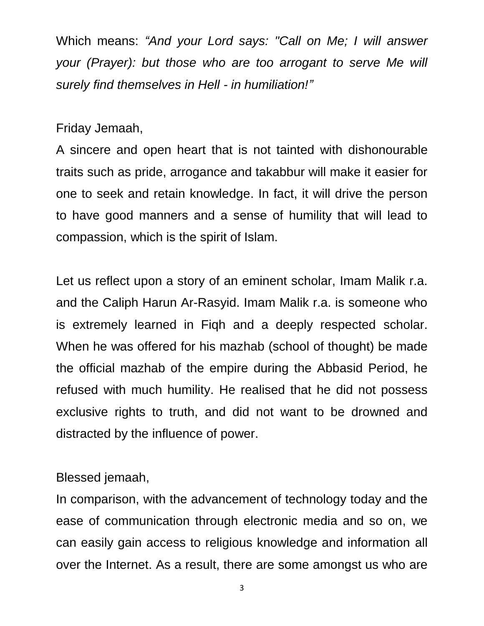Which means: *"And your Lord says: "Call on Me; I will answer your (Prayer): but those who are too arrogant to serve Me will surely find themselves in Hell - in humiliation!"*

Friday Jemaah,

A sincere and open heart that is not tainted with dishonourable traits such as pride, arrogance and takabbur will make it easier for one to seek and retain knowledge. In fact, it will drive the person to have good manners and a sense of humility that will lead to compassion, which is the spirit of Islam.

Let us reflect upon a story of an eminent scholar, Imam Malik r.a. and the Caliph Harun Ar-Rasyid. Imam Malik r.a. is someone who is extremely learned in Fiqh and a deeply respected scholar. When he was offered for his mazhab (school of thought) be made the official mazhab of the empire during the Abbasid Period, he refused with much humility. He realised that he did not possess exclusive rights to truth, and did not want to be drowned and distracted by the influence of power.

#### Blessed jemaah,

In comparison, with the advancement of technology today and the ease of communication through electronic media and so on, we can easily gain access to religious knowledge and information all over the Internet. As a result, there are some amongst us who are

3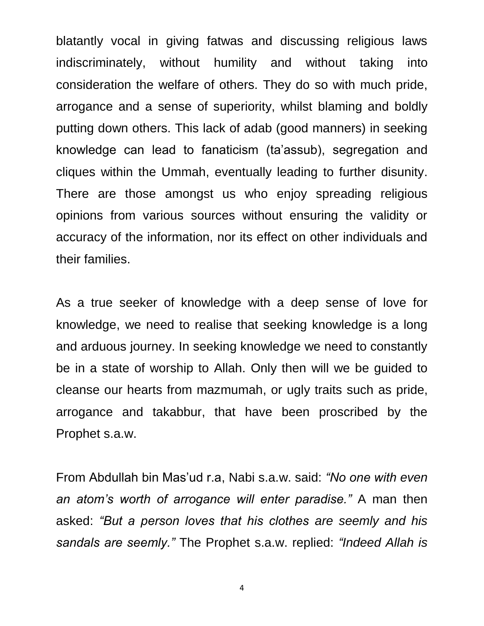blatantly vocal in giving fatwas and discussing religious laws indiscriminately, without humility and without taking into consideration the welfare of others. They do so with much pride, arrogance and a sense of superiority, whilst blaming and boldly putting down others. This lack of adab (good manners) in seeking knowledge can lead to fanaticism (ta'assub), segregation and cliques within the Ummah, eventually leading to further disunity. There are those amongst us who enjoy spreading religious opinions from various sources without ensuring the validity or accuracy of the information, nor its effect on other individuals and their families.

As a true seeker of knowledge with a deep sense of love for knowledge, we need to realise that seeking knowledge is a long and arduous journey. In seeking knowledge we need to constantly be in a state of worship to Allah. Only then will we be guided to cleanse our hearts from mazmumah, or ugly traits such as pride, arrogance and takabbur, that have been proscribed by the Prophet s.a.w.

From Abdullah bin Mas'ud r.a, Nabi s.a.w. said: *"No one with even an atom's worth of arrogance will enter paradise."* A man then asked: *"But a person loves that his clothes are seemly and his sandals are seemly."* The Prophet s.a.w. replied: *"Indeed Allah is* 

4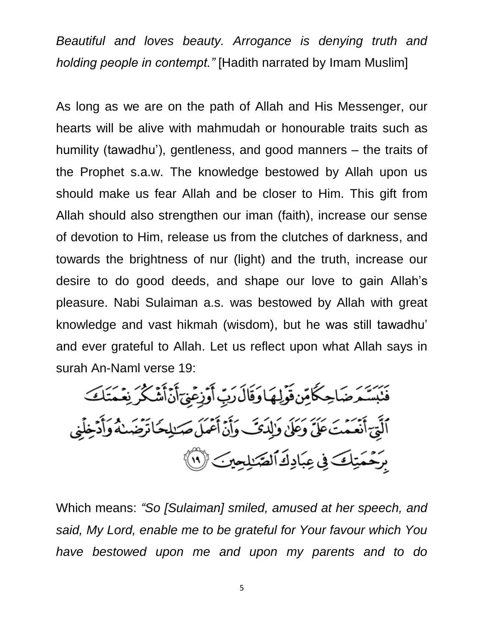*Beautiful and loves beauty. Arrogance is denying truth and holding people in contempt."* [Hadith narrated by Imam Muslim]

As long as we are on the path of Allah and His Messenger, our hearts will be alive with mahmudah or honourable traits such as humility (tawadhu'), gentleness, and good manners – the traits of the Prophet s.a.w. The knowledge bestowed by Allah upon us should make us fear Allah and be closer to Him. This gift from Allah should also strengthen our iman (faith), increase our sense of devotion to Him, release us from the clutches of darkness, and towards the brightness of nur (light) and the truth, increase our desire to do good deeds, and shape our love to gain Allah's pleasure. Nabi Sulaiman a.s. was bestowed by Allah with great knowledge and vast hikmah (wisdom), but he was still tawadhu' and ever grateful to Allah. Let us reflect upon what Allah says in surah An-Naml verse 19:

فَنَبَسَّمَ ضَاحِكًا مِّن قَوَلِهَا وَقَالَ رَبِّ أَوَزِعَنِيٓ أَنَّ أَشَكُرَ نِعَمَتَكَ ٱلَّتِيَ أَنۡعَمۡتَ عَلَىٰٓ وَعَلَىٰ وَٰلِدَىَـَ وَأَنۡ أَعۡمَلَ صَلالِحَا تَرۡضَىٰنَهُ وَأَدۡخِلَٰ بِرَحْمَتِكَ فِي عِبَادِكَ الصَّنِلِيِّينَ (١)

Which means: *"So [Sulaiman] smiled, amused at her speech, and said, My Lord, enable me to be grateful for Your favour which You have bestowed upon me and upon my parents and to do*